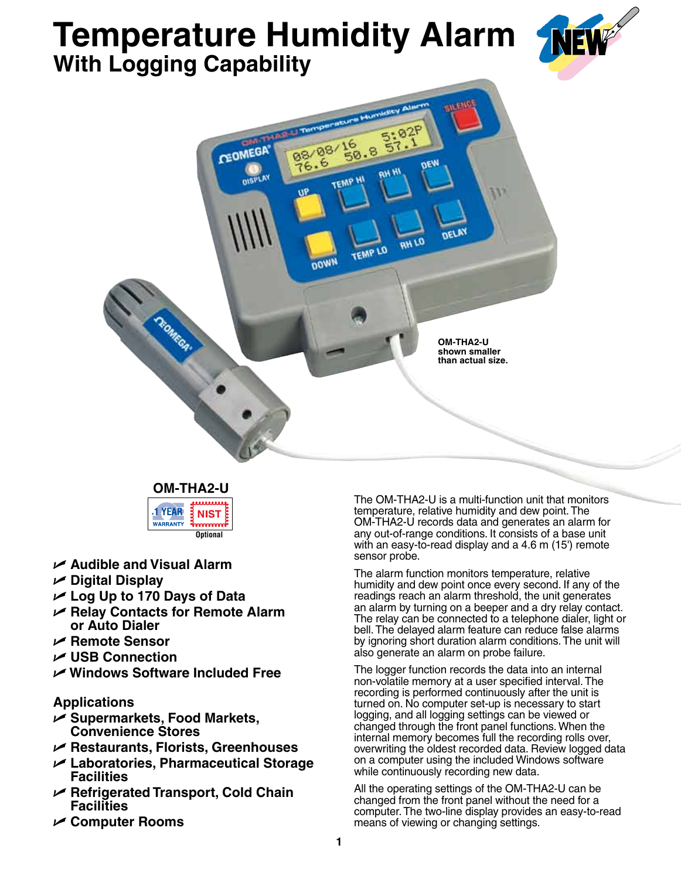# **Temperature Humidity Alarm With Logging Capability**





**OM-THA2-U** . . . . . . . . . . **1 YEAR NIST WARRANTY** . . . . . . <del>.</del> **Optional**

- U **Audible and Visual Alarm**
- U **Digital Display**
- U **Log Up to 170 Days of Data**
- U **Relay Contacts for Remote Alarm or Auto Dialer**
- U **Remote Sensor**
- U **USB Connection**
- U **Windows Software Included Free**

# **Applications**

- U **Supermarkets, Food Markets, Convenience Stores**
- U **Restaurants, Florists, Greenhouses**
- U **Laboratories, Pharmaceutical Storage Facilities**
- U **Refrigerated Transport, Cold Chain Facilities**
- U **Computer Rooms**

The OM-THA2-U is a multi-function unit that monitors temperature, relative humidity and dew point. The OM-THA2-U records data and generates an alarm for any out-of-range conditions. It consists of a base unit with an easy-to-read display and a 4.6 m (15') remote sensor probe.

The alarm function monitors temperature, relative humidity and dew point once every second. If any of the readings reach an alarm threshold, the unit generates an alarm by turning on a beeper and a dry relay contact. The relay can be connected to a telephone dialer, light or bell. The delayed alarm feature can reduce false alarms by ignoring short duration alarm conditions. The unit will also generate an alarm on probe failure.

The logger function records the data into an internal non-volatile memory at a user specified interval. The recording is performed continuously after the unit is turned on. No computer set-up is necessary to start logging, and all logging settings can be viewed or changed through the front panel functions. When the internal memory becomes full the recording rolls over, overwriting the oldest recorded data. Review logged data on a computer using the included Windows software while continuously recording new data.

All the operating settings of the OM-THA2-U can be changed from the front panel without the need for a computer. The two-line display provides an easy-to-read means of viewing or changing settings.